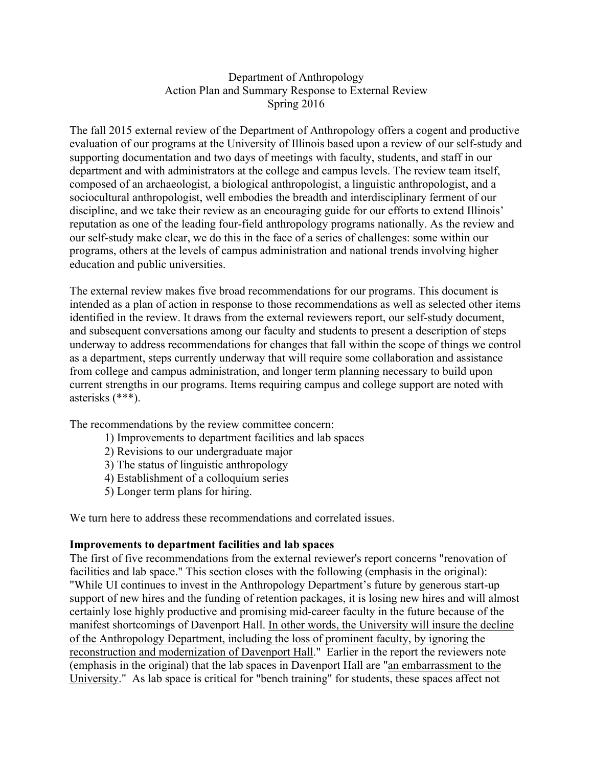### Department of Anthropology Action Plan and Summary Response to External Review Spring 2016

The fall 2015 external review of the Department of Anthropology offers a cogent and productive evaluation of our programs at the University of Illinois based upon a review of our self-study and supporting documentation and two days of meetings with faculty, students, and staff in our department and with administrators at the college and campus levels. The review team itself, composed of an archaeologist, a biological anthropologist, a linguistic anthropologist, and a sociocultural anthropologist, well embodies the breadth and interdisciplinary ferment of our discipline, and we take their review as an encouraging guide for our efforts to extend Illinois' reputation as one of the leading four-field anthropology programs nationally. As the review and our self-study make clear, we do this in the face of a series of challenges: some within our programs, others at the levels of campus administration and national trends involving higher education and public universities.

The external review makes five broad recommendations for our programs. This document is intended as a plan of action in response to those recommendations as well as selected other items identified in the review. It draws from the external reviewers report, our self-study document, and subsequent conversations among our faculty and students to present a description of steps underway to address recommendations for changes that fall within the scope of things we control as a department, steps currently underway that will require some collaboration and assistance from college and campus administration, and longer term planning necessary to build upon current strengths in our programs. Items requiring campus and college support are noted with asterisks (\*\*\*).

The recommendations by the review committee concern:

- 1) Improvements to department facilities and lab spaces
- 2) Revisions to our undergraduate major
- 3) The status of linguistic anthropology
- 4) Establishment of a colloquium series
- 5) Longer term plans for hiring.

We turn here to address these recommendations and correlated issues.

### **Improvements to department facilities and lab spaces**

The first of five recommendations from the external reviewer's report concerns "renovation of facilities and lab space." This section closes with the following (emphasis in the original): "While UI continues to invest in the Anthropology Department's future by generous start-up support of new hires and the funding of retention packages, it is losing new hires and will almost certainly lose highly productive and promising mid-career faculty in the future because of the manifest shortcomings of Davenport Hall. In other words, the University will insure the decline of the Anthropology Department, including the loss of prominent faculty, by ignoring the reconstruction and modernization of Davenport Hall." Earlier in the report the reviewers note (emphasis in the original) that the lab spaces in Davenport Hall are "an embarrassment to the University." As lab space is critical for "bench training" for students, these spaces affect not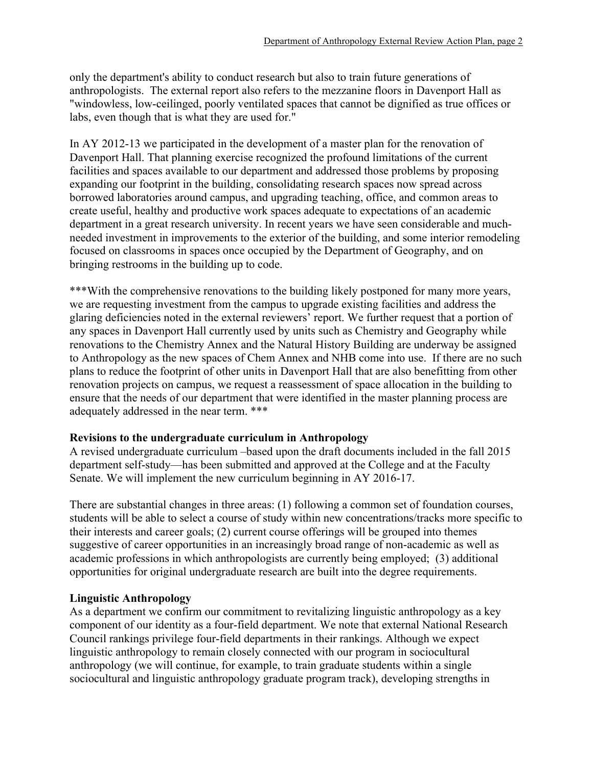only the department's ability to conduct research but also to train future generations of anthropologists. The external report also refers to the mezzanine floors in Davenport Hall as "windowless, low-ceilinged, poorly ventilated spaces that cannot be dignified as true offices or labs, even though that is what they are used for."

In AY 2012-13 we participated in the development of a master plan for the renovation of Davenport Hall. That planning exercise recognized the profound limitations of the current facilities and spaces available to our department and addressed those problems by proposing expanding our footprint in the building, consolidating research spaces now spread across borrowed laboratories around campus, and upgrading teaching, office, and common areas to create useful, healthy and productive work spaces adequate to expectations of an academic department in a great research university. In recent years we have seen considerable and muchneeded investment in improvements to the exterior of the building, and some interior remodeling focused on classrooms in spaces once occupied by the Department of Geography, and on bringing restrooms in the building up to code.

\*\*\*With the comprehensive renovations to the building likely postponed for many more years, we are requesting investment from the campus to upgrade existing facilities and address the glaring deficiencies noted in the external reviewers' report. We further request that a portion of any spaces in Davenport Hall currently used by units such as Chemistry and Geography while renovations to the Chemistry Annex and the Natural History Building are underway be assigned to Anthropology as the new spaces of Chem Annex and NHB come into use. If there are no such plans to reduce the footprint of other units in Davenport Hall that are also benefitting from other renovation projects on campus, we request a reassessment of space allocation in the building to ensure that the needs of our department that were identified in the master planning process are adequately addressed in the near term. \*\*\*

## **Revisions to the undergraduate curriculum in Anthropology**

A revised undergraduate curriculum –based upon the draft documents included in the fall 2015 department self-study—has been submitted and approved at the College and at the Faculty Senate. We will implement the new curriculum beginning in AY 2016-17.

There are substantial changes in three areas: (1) following a common set of foundation courses, students will be able to select a course of study within new concentrations/tracks more specific to their interests and career goals; (2) current course offerings will be grouped into themes suggestive of career opportunities in an increasingly broad range of non-academic as well as academic professions in which anthropologists are currently being employed; (3) additional opportunities for original undergraduate research are built into the degree requirements.

## **Linguistic Anthropology**

As a department we confirm our commitment to revitalizing linguistic anthropology as a key component of our identity as a four-field department. We note that external National Research Council rankings privilege four-field departments in their rankings. Although we expect linguistic anthropology to remain closely connected with our program in sociocultural anthropology (we will continue, for example, to train graduate students within a single sociocultural and linguistic anthropology graduate program track), developing strengths in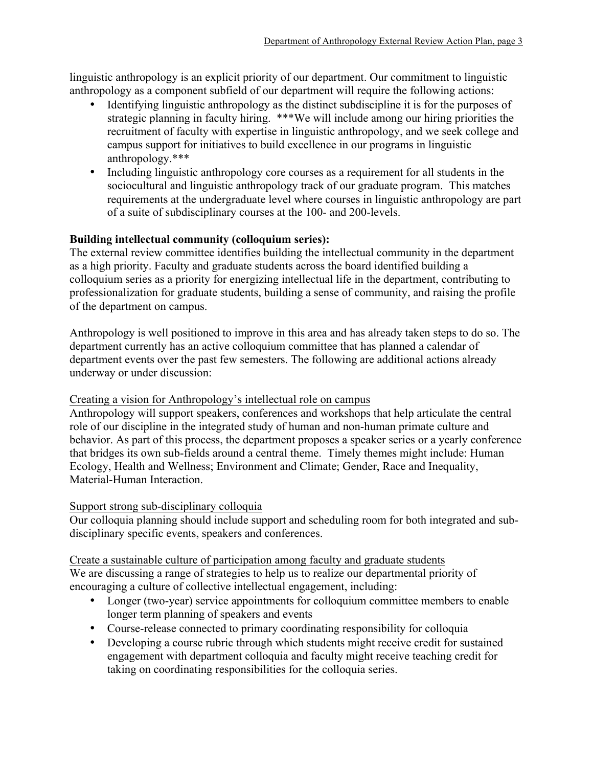linguistic anthropology is an explicit priority of our department. Our commitment to linguistic anthropology as a component subfield of our department will require the following actions:

- Identifying linguistic anthropology as the distinct subdiscipline it is for the purposes of strategic planning in faculty hiring. \*\*\*We will include among our hiring priorities the recruitment of faculty with expertise in linguistic anthropology, and we seek college and campus support for initiatives to build excellence in our programs in linguistic anthropology.\*\*\*
- Including linguistic anthropology core courses as a requirement for all students in the sociocultural and linguistic anthropology track of our graduate program. This matches requirements at the undergraduate level where courses in linguistic anthropology are part of a suite of subdisciplinary courses at the 100- and 200-levels.

# **Building intellectual community (colloquium series):**

The external review committee identifies building the intellectual community in the department as a high priority. Faculty and graduate students across the board identified building a colloquium series as a priority for energizing intellectual life in the department, contributing to professionalization for graduate students, building a sense of community, and raising the profile of the department on campus.

Anthropology is well positioned to improve in this area and has already taken steps to do so. The department currently has an active colloquium committee that has planned a calendar of department events over the past few semesters. The following are additional actions already underway or under discussion:

## Creating a vision for Anthropology's intellectual role on campus

Anthropology will support speakers, conferences and workshops that help articulate the central role of our discipline in the integrated study of human and non-human primate culture and behavior. As part of this process, the department proposes a speaker series or a yearly conference that bridges its own sub-fields around a central theme. Timely themes might include: Human Ecology, Health and Wellness; Environment and Climate; Gender, Race and Inequality, Material-Human Interaction.

## Support strong sub-disciplinary colloquia

Our colloquia planning should include support and scheduling room for both integrated and subdisciplinary specific events, speakers and conferences.

# Create a sustainable culture of participation among faculty and graduate students

We are discussing a range of strategies to help us to realize our departmental priority of encouraging a culture of collective intellectual engagement, including:

- Longer (two-year) service appointments for colloquium committee members to enable longer term planning of speakers and events
- Course-release connected to primary coordinating responsibility for colloquia
- Developing a course rubric through which students might receive credit for sustained engagement with department colloquia and faculty might receive teaching credit for taking on coordinating responsibilities for the colloquia series.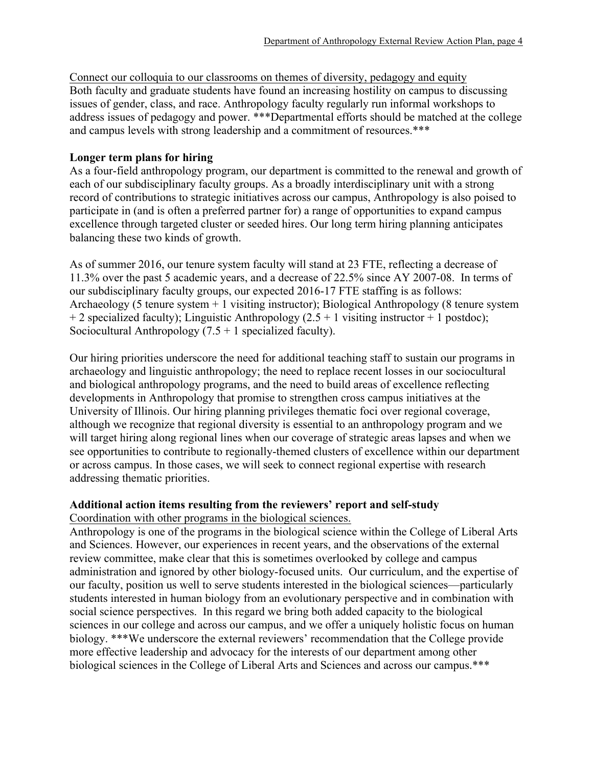Connect our colloquia to our classrooms on themes of diversity, pedagogy and equity Both faculty and graduate students have found an increasing hostility on campus to discussing issues of gender, class, and race. Anthropology faculty regularly run informal workshops to address issues of pedagogy and power. \*\*\*Departmental efforts should be matched at the college and campus levels with strong leadership and a commitment of resources.\*\*\*

### **Longer term plans for hiring**

As a four-field anthropology program, our department is committed to the renewal and growth of each of our subdisciplinary faculty groups. As a broadly interdisciplinary unit with a strong record of contributions to strategic initiatives across our campus, Anthropology is also poised to participate in (and is often a preferred partner for) a range of opportunities to expand campus excellence through targeted cluster or seeded hires. Our long term hiring planning anticipates balancing these two kinds of growth.

As of summer 2016, our tenure system faculty will stand at 23 FTE, reflecting a decrease of 11.3% over the past 5 academic years, and a decrease of 22.5% since AY 2007-08. In terms of our subdisciplinary faculty groups, our expected 2016-17 FTE staffing is as follows: Archaeology (5 tenure system + 1 visiting instructor); Biological Anthropology (8 tenure system + 2 specialized faculty); Linguistic Anthropology  $(2.5 + 1$  visiting instructor + 1 postdoc); Sociocultural Anthropology  $(7.5 + 1$  specialized faculty).

Our hiring priorities underscore the need for additional teaching staff to sustain our programs in archaeology and linguistic anthropology; the need to replace recent losses in our sociocultural and biological anthropology programs, and the need to build areas of excellence reflecting developments in Anthropology that promise to strengthen cross campus initiatives at the University of Illinois. Our hiring planning privileges thematic foci over regional coverage, although we recognize that regional diversity is essential to an anthropology program and we will target hiring along regional lines when our coverage of strategic areas lapses and when we see opportunities to contribute to regionally-themed clusters of excellence within our department or across campus. In those cases, we will seek to connect regional expertise with research addressing thematic priorities.

## **Additional action items resulting from the reviewers' report and self-study**

Coordination with other programs in the biological sciences.

Anthropology is one of the programs in the biological science within the College of Liberal Arts and Sciences. However, our experiences in recent years, and the observations of the external review committee, make clear that this is sometimes overlooked by college and campus administration and ignored by other biology-focused units. Our curriculum, and the expertise of our faculty, position us well to serve students interested in the biological sciences—particularly students interested in human biology from an evolutionary perspective and in combination with social science perspectives. In this regard we bring both added capacity to the biological sciences in our college and across our campus, and we offer a uniquely holistic focus on human biology. \*\*\*We underscore the external reviewers' recommendation that the College provide more effective leadership and advocacy for the interests of our department among other biological sciences in the College of Liberal Arts and Sciences and across our campus.\*\*\*